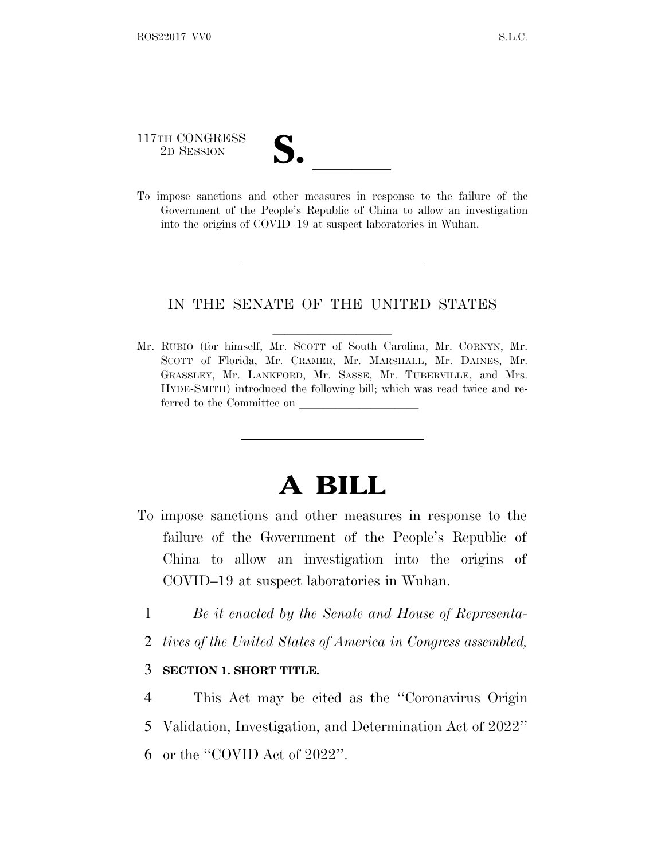## 117TH CONGRESS

117TH CONGRESS<br>
2D SESSION<br>
To impose sanctions and other measures in response to the failure of the Government of the People's Republic of China to allow an investigation into the origins of COVID–19 at suspect laboratories in Wuhan.

## IN THE SENATE OF THE UNITED STATES

Mr. RUBIO (for himself, Mr. SCOTT of South Carolina, Mr. CORNYN, Mr. SCOTT of Florida, Mr. CRAMER, Mr. MARSHALL, Mr. DAINES, Mr. GRASSLEY, Mr. LANKFORD, Mr. SASSE, Mr. TUBERVILLE, and Mrs. HYDE-SMITH) introduced the following bill; which was read twice and referred to the Committee on

## **A BILL**

- To impose sanctions and other measures in response to the failure of the Government of the People's Republic of China to allow an investigation into the origins of COVID–19 at suspect laboratories in Wuhan.
	- 1 *Be it enacted by the Senate and House of Representa-*
	- 2 *tives of the United States of America in Congress assembled,*

## 3 **SECTION 1. SHORT TITLE.**

4 This Act may be cited as the ''Coronavirus Origin 5 Validation, Investigation, and Determination Act of 2022'' 6 or the ''COVID Act of 2022''.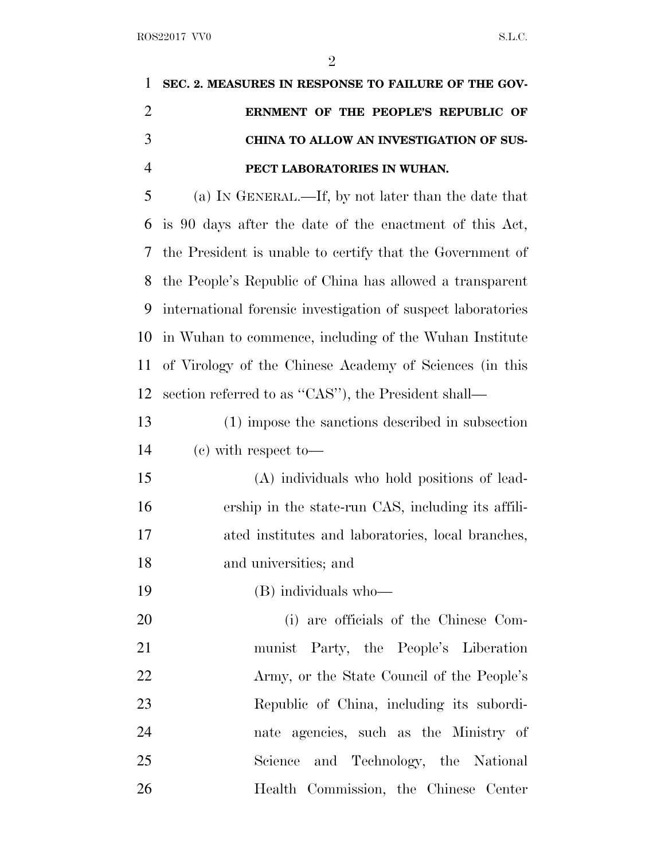|                | $\overline{2}$                                               |
|----------------|--------------------------------------------------------------|
| 1              | SEC. 2. MEASURES IN RESPONSE TO FAILURE OF THE GOV-          |
| $\overline{2}$ | ERNMENT OF THE PEOPLE'S REPUBLIC OF                          |
| 3              | CHINA TO ALLOW AN INVESTIGATION OF SUS-                      |
| $\overline{4}$ | PECT LABORATORIES IN WUHAN.                                  |
| 5              | (a) IN GENERAL.—If, by not later than the date that          |
| 6              | is 90 days after the date of the enactment of this Act,      |
| 7              | the President is unable to certify that the Government of    |
| 8              | the People's Republic of China has allowed a transparent     |
| 9              | international forensic investigation of suspect laboratories |
| 10             | in Wuhan to commence, including of the Wuhan Institute       |
| 11             | of Virology of the Chinese Academy of Sciences (in this      |
| 12             | section referred to as "CAS"), the President shall—          |
| 13             | (1) impose the sanctions described in subsection             |
| 14             | $(e)$ with respect to —                                      |
| 15             | (A) individuals who hold positions of lead-                  |
| 16             | ership in the state-run CAS, including its affili-           |
| 17             | ated institutes and laboratories, local branches,            |
| 18             | and universities; and                                        |

(B) individuals who—

 (i) are officials of the Chinese Com- munist Party, the People's Liberation Army, or the State Council of the People's Republic of China, including its subordi- nate agencies, such as the Ministry of Science and Technology, the National Health Commission, the Chinese Center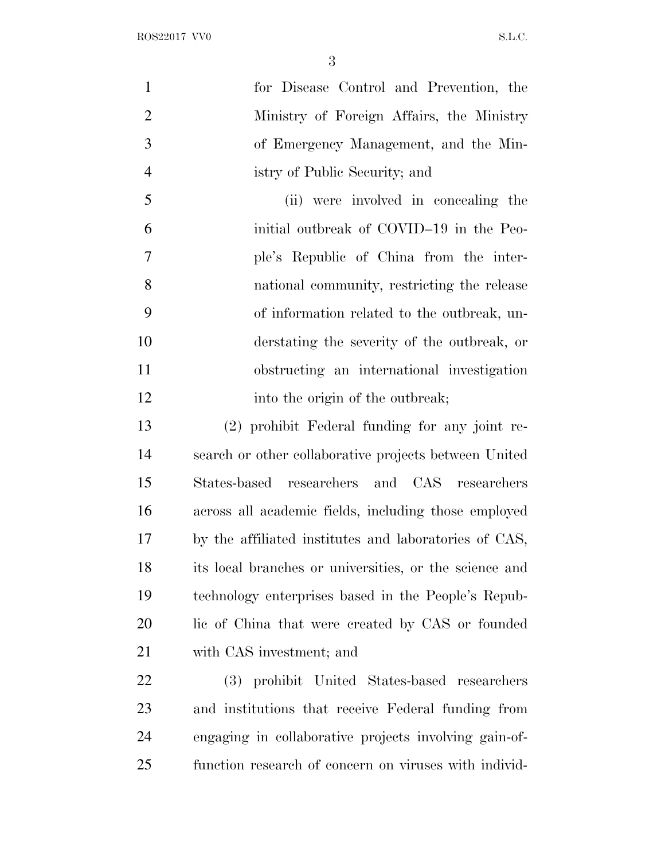ROS22017 VV0 S.L.C.

| $\mathbf{1}$   | for Disease Control and Prevention, the                |
|----------------|--------------------------------------------------------|
| $\overline{2}$ | Ministry of Foreign Affairs, the Ministry              |
| 3              | of Emergency Management, and the Min-                  |
| $\overline{4}$ | istry of Public Security; and                          |
| 5              | (ii) were involved in concealing the                   |
| 6              | initial outbreak of COVID-19 in the Peo-               |
| 7              | ple's Republic of China from the inter-                |
| 8              | national community, restricting the release            |
| 9              | of information related to the outbreak, un-            |
| 10             | derstating the severity of the outbreak, or            |
| 11             | obstructing an international investigation             |
| 12             | into the origin of the outbreak;                       |
| 13             | (2) prohibit Federal funding for any joint re-         |
| 14             | search or other collaborative projects between United  |
| 15             | States-based researchers and CAS researchers           |
| 16             | across all academic fields, including those employed   |
| 17             | by the affiliated institutes and laboratories of CAS,  |
| 18             | its local branches or universities, or the science and |
| 19             | technology enterprises based in the People's Repub-    |
| 20             | lic of China that were created by CAS or founded       |
|                |                                                        |

with CAS investment; and

 (3) prohibit United States-based researchers and institutions that receive Federal funding from engaging in collaborative projects involving gain-of-function research of concern on viruses with individ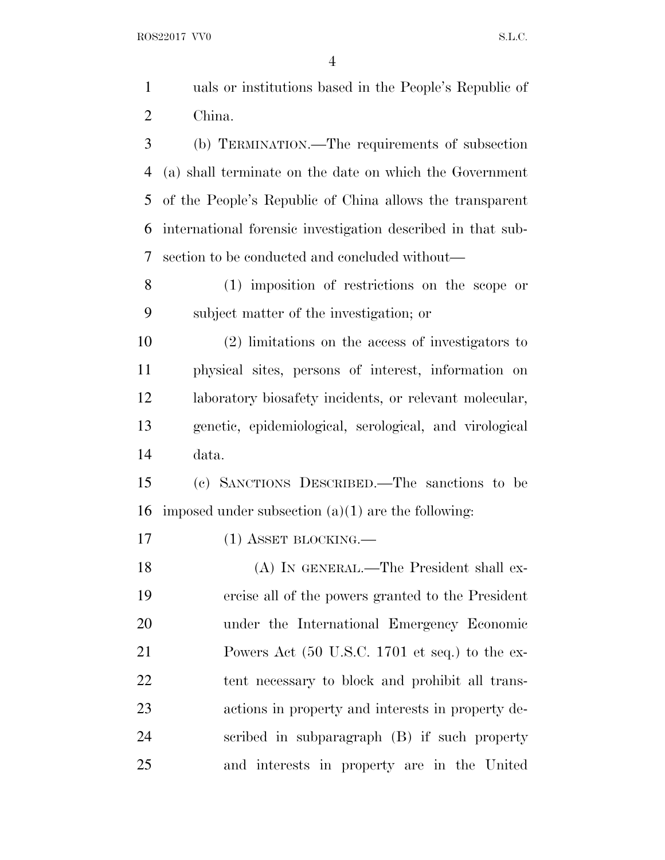ROS22017 VV0 S.L.C.

|                | $\overline{4}$                                              |
|----------------|-------------------------------------------------------------|
| $\mathbf{1}$   | uals or institutions based in the People's Republic of      |
| $\overline{2}$ | China.                                                      |
| 3              | (b) TERMINATION.—The requirements of subsection             |
| $\overline{4}$ | (a) shall terminate on the date on which the Government     |
| 5              | of the People's Republic of China allows the transparent    |
| 6              | international forensic investigation described in that sub- |
| 7              | section to be conducted and concluded without—              |
| 8              | (1) imposition of restrictions on the scope or              |
| 9              | subject matter of the investigation; or                     |
| 10             | (2) limitations on the access of investigators to           |
| 11             | physical sites, persons of interest, information on         |
| 12             | laboratory biosafety incidents, or relevant molecular,      |
| 13             | genetic, epidemiological, serological, and virological      |
| 14             | data.                                                       |
| 15             | (c) SANCTIONS DESCRIBED.—The sanctions to be                |
| 16             | imposed under subsection $(a)(1)$ are the following:        |
|                |                                                             |

17 (1) ASSET BLOCKING.

 (A) IN GENERAL.—The President shall ex- ercise all of the powers granted to the President under the International Emergency Economic Powers Act (50 U.S.C. 1701 et seq.) to the ex- tent necessary to block and prohibit all trans- actions in property and interests in property de- scribed in subparagraph (B) if such property and interests in property are in the United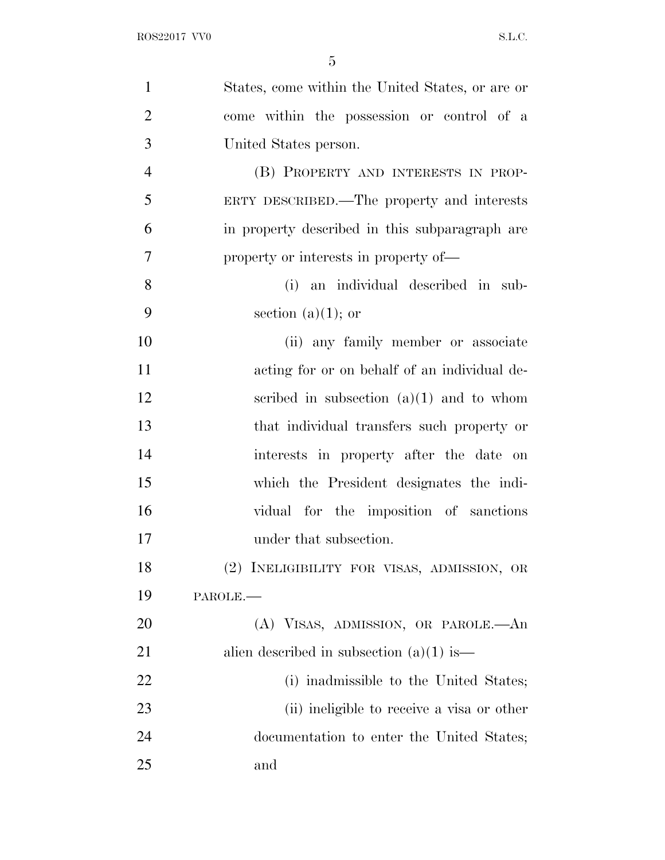| $\mathbf{1}$   | States, come within the United States, or are or |
|----------------|--------------------------------------------------|
| $\overline{2}$ | come within the possession or control of a       |
| 3              | United States person.                            |
| $\overline{4}$ | (B) PROPERTY AND INTERESTS IN PROP-              |
| 5              | ERTY DESCRIBED.—The property and interests       |
| 6              | in property described in this subparagraph are   |
| 7              | property or interests in property of—            |
| 8              | (i) an individual described in sub-              |
| 9              | section (a) $(1)$ ; or                           |
| 10             | (ii) any family member or associate              |
| 11             | acting for or on behalf of an individual de-     |
| 12             | scribed in subsection $(a)(1)$ and to whom       |
| 13             | that individual transfers such property or       |
| 14             | interests in property after the date on          |
| 15             | which the President designates the indi-         |
| 16             | vidual for the imposition of sanctions           |
| 17             | under that subsection.                           |
| 18             | (2) INELIGIBILITY FOR VISAS, ADMISSION, OR       |
| 19             | PAROLE.                                          |
| 20             | (A) VISAS, ADMISSION, OR PAROLE.—An              |
| 21             | alien described in subsection $(a)(1)$ is —      |
| 22             | (i) inadmissible to the United States;           |
| 23             | (ii) ineligible to receive a visa or other       |
| 24             | documentation to enter the United States;        |
| 25             | and                                              |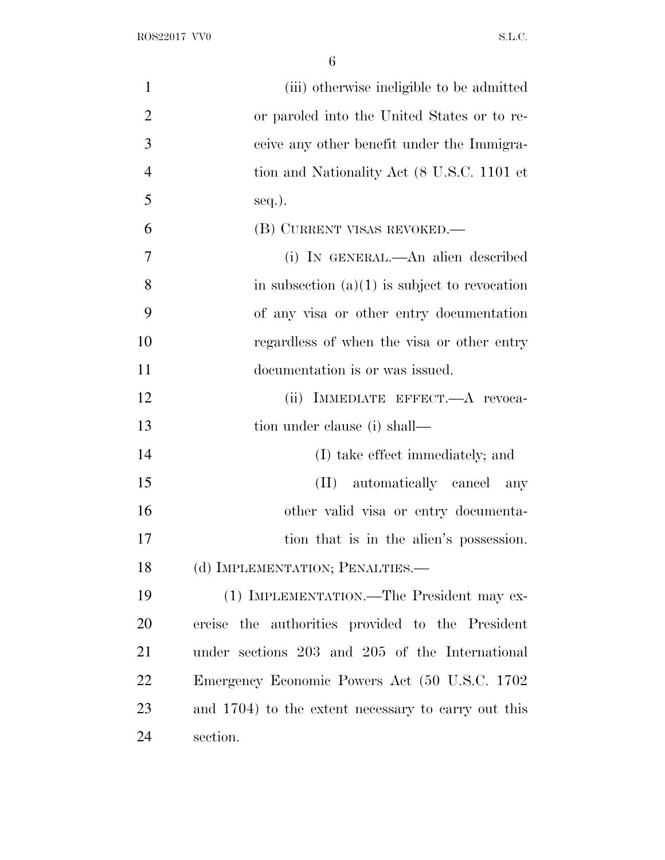| (iii) otherwise ineligible to be admitted           |
|-----------------------------------------------------|
| or paroled into the United States or to re-         |
| ceive any other benefit under the Immigra-          |
| tion and Nationality Act (8 U.S.C. 1101 et          |
| seq.).                                              |
| (B) CURRENT VISAS REVOKED.—                         |
| (i) IN GENERAL.—An alien described                  |
| in subsection $(a)(1)$ is subject to revocation     |
| of any visa or other entry documentation            |
| regardless of when the visa or other entry          |
| documentation is or was issued.                     |
| (ii) IMMEDIATE EFFECT.—A revoca-                    |
| tion under clause (i) shall—                        |
| (I) take effect immediately; and                    |
| (II) automatically cancel any                       |
| other valid visa or entry documenta-                |
| tion that is in the alien's possession.             |
| (d) IMPLEMENTATION; PENALTIES.-                     |
| (1) IMPLEMENTATION.—The President may ex-           |
| ercise the authorities provided to the President    |
| under sections 203 and 205 of the International     |
| Emergency Economic Powers Act (50 U.S.C. 1702)      |
| and 1704) to the extent necessary to carry out this |
| section.                                            |
|                                                     |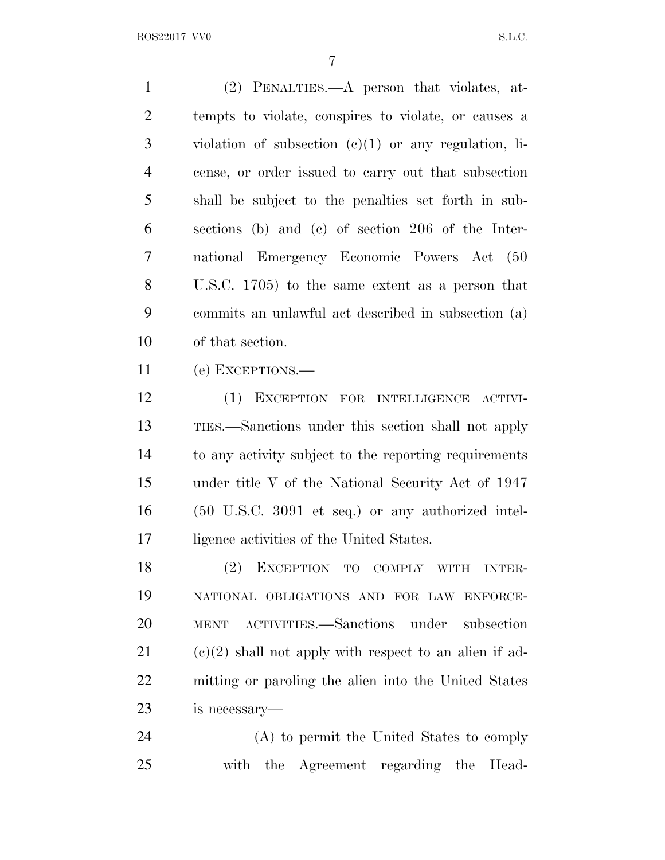(2) PENALTIES.—A person that violates, at- tempts to violate, conspires to violate, or causes a violation of subsection (c)(1) or any regulation, li- cense, or order issued to carry out that subsection shall be subject to the penalties set forth in sub- sections (b) and (c) of section 206 of the Inter- national Emergency Economic Powers Act (50 U.S.C. 1705) to the same extent as a person that commits an unlawful act described in subsection (a) of that section.

(e) EXCEPTIONS.—

 (1) EXCEPTION FOR INTELLIGENCE ACTIVI- TIES.—Sanctions under this section shall not apply to any activity subject to the reporting requirements under title V of the National Security Act of 1947 (50 U.S.C. 3091 et seq.) or any authorized intel-ligence activities of the United States.

 (2) EXCEPTION TO COMPLY WITH INTER- NATIONAL OBLIGATIONS AND FOR LAW ENFORCE- MENT ACTIVITIES.—Sanctions under subsection  $(c)(2)$  shall not apply with respect to an alien if ad- mitting or paroling the alien into the United States is necessary—

 (A) to permit the United States to comply with the Agreement regarding the Head-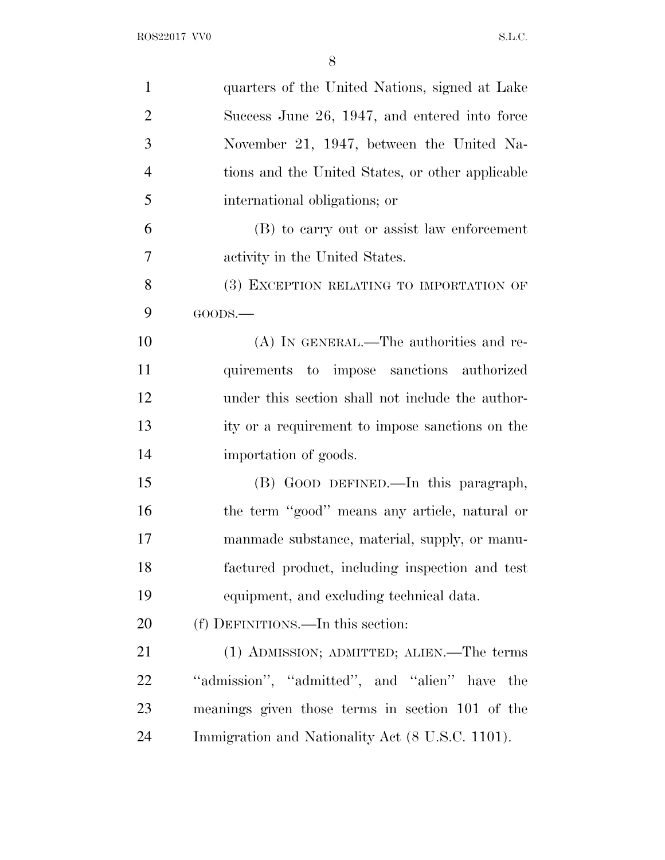| $\mathbf{1}$   | quarters of the United Nations, signed at Lake   |
|----------------|--------------------------------------------------|
| $\overline{2}$ | Success June 26, 1947, and entered into force    |
| 3              | November 21, 1947, between the United Na-        |
| $\overline{4}$ | tions and the United States, or other applicable |
| 5              | international obligations; or                    |
| 6              | (B) to carry out or assist law enforcement       |
| 7              | activity in the United States.                   |
| 8              | (3) EXCEPTION RELATING TO IMPORTATION OF         |
| 9              | GOODS.                                           |
| 10             | (A) IN GENERAL.—The authorities and re-          |
| 11             | quirements to impose sanctions authorized        |
| 12             | under this section shall not include the author- |
| 13             | ity or a requirement to impose sanctions on the  |
| 14             | importation of goods.                            |
| 15             | (B) GOOD DEFINED.—In this paragraph,             |
| 16             | the term "good" means any article, natural or    |
| 17             | manmade substance, material, supply, or manu-    |
| 18             | factured product, including inspection and test  |
| 19             | equipment, and excluding technical data.         |
| 20             | (f) DEFINITIONS.—In this section:                |
| 21             | (1) ADMISSION; ADMITTED; ALIEN.—The terms        |
| 22             | "admission", "admitted", and "alien" have<br>the |
| 23             | meanings given those terms in section 101 of the |
| 24             | Immigration and Nationality Act (8 U.S.C. 1101). |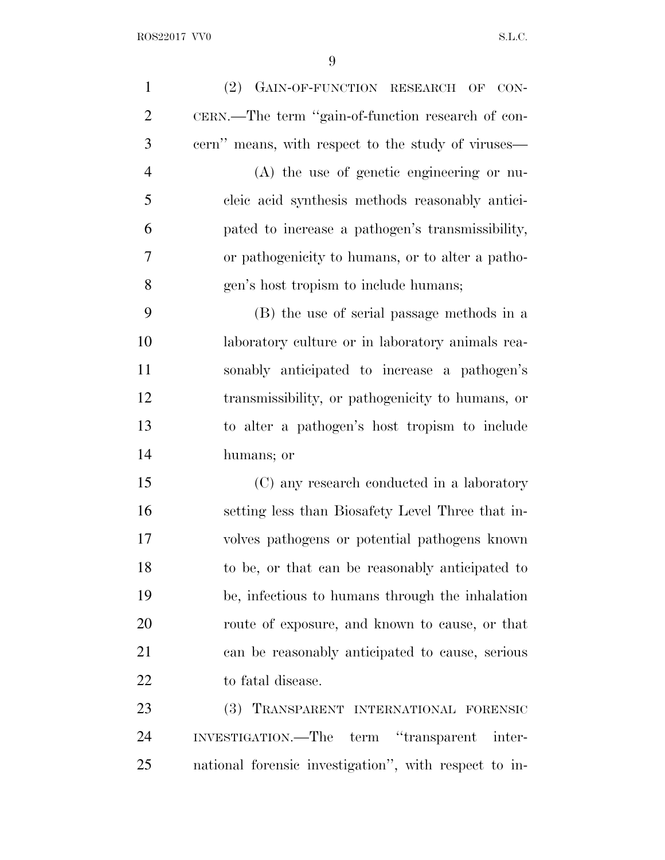| $\mathbf{1}$   | (2) GAIN-OF-FUNCTION RESEARCH OF CON-                 |
|----------------|-------------------------------------------------------|
| $\overline{2}$ | CERN.—The term "gain-of-function research of con-     |
| 3              | cern" means, with respect to the study of viruses—    |
| $\overline{4}$ | $(A)$ the use of genetic engineering or nu-           |
| 5              | cleic acid synthesis methods reasonably antici-       |
| 6              | pated to increase a pathogen's transmissibility,      |
| 7              | or pathogenicity to humans, or to alter a patho-      |
| 8              | gen's host tropism to include humans;                 |
| 9              | (B) the use of serial passage methods in a            |
| 10             | laboratory culture or in laboratory animals rea-      |
| 11             | sonably anticipated to increase a pathogen's          |
| 12             | transmissibility, or pathogenicity to humans, or      |
| 13             | to alter a pathogen's host tropism to include         |
| 14             | humans; or                                            |
| 15             | (C) any research conducted in a laboratory            |
| 16             | setting less than Biosafety Level Three that in-      |
| 17             | volves pathogens or potential pathogens known         |
| 18             | to be, or that can be reasonably anticipated to       |
| 19             | be, infectious to humans through the inhalation       |
| 20             | route of exposure, and known to cause, or that        |
| 21             | can be reasonably anticipated to cause, serious       |
| 22             | to fatal disease.                                     |
| 23             | (3) TRANSPARENT INTERNATIONAL FORENSIC                |
| 24             | INVESTIGATION.—The term "transparent inter-           |
| 25             | national forensic investigation", with respect to in- |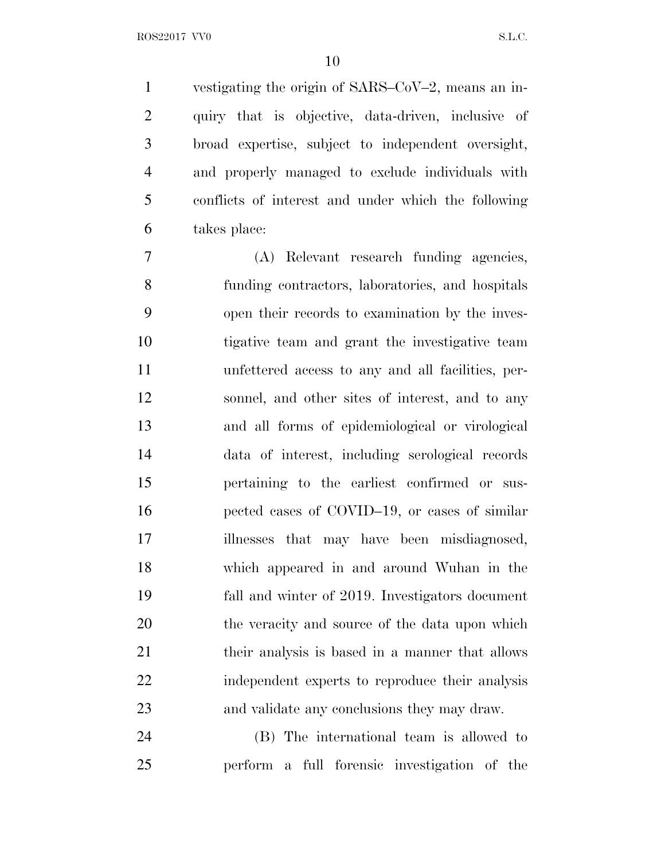vestigating the origin of SARS–CoV–2, means an in- quiry that is objective, data-driven, inclusive of broad expertise, subject to independent oversight, and properly managed to exclude individuals with conflicts of interest and under which the following takes place:

 (A) Relevant research funding agencies, funding contractors, laboratories, and hospitals open their records to examination by the inves- tigative team and grant the investigative team unfettered access to any and all facilities, per- sonnel, and other sites of interest, and to any and all forms of epidemiological or virological data of interest, including serological records pertaining to the earliest confirmed or sus- pected cases of COVID–19, or cases of similar illnesses that may have been misdiagnosed, which appeared in and around Wuhan in the fall and winter of 2019. Investigators document 20 the veracity and source of the data upon which their analysis is based in a manner that allows independent experts to reproduce their analysis and validate any conclusions they may draw.

 (B) The international team is allowed to perform a full forensic investigation of the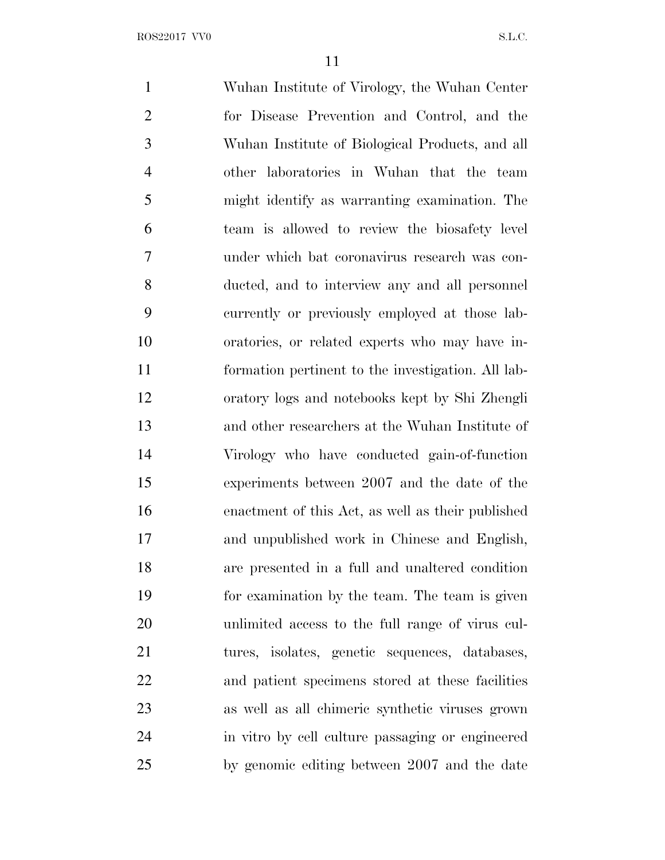Wuhan Institute of Virology, the Wuhan Center for Disease Prevention and Control, and the Wuhan Institute of Biological Products, and all other laboratories in Wuhan that the team might identify as warranting examination. The team is allowed to review the biosafety level under which bat coronavirus research was con- ducted, and to interview any and all personnel currently or previously employed at those lab- oratories, or related experts who may have in- formation pertinent to the investigation. All lab- oratory logs and notebooks kept by Shi Zhengli and other researchers at the Wuhan Institute of Virology who have conducted gain-of-function experiments between 2007 and the date of the enactment of this Act, as well as their published and unpublished work in Chinese and English, are presented in a full and unaltered condition for examination by the team. The team is given unlimited access to the full range of virus cul- tures, isolates, genetic sequences, databases, and patient specimens stored at these facilities as well as all chimeric synthetic viruses grown in vitro by cell culture passaging or engineered by genomic editing between 2007 and the date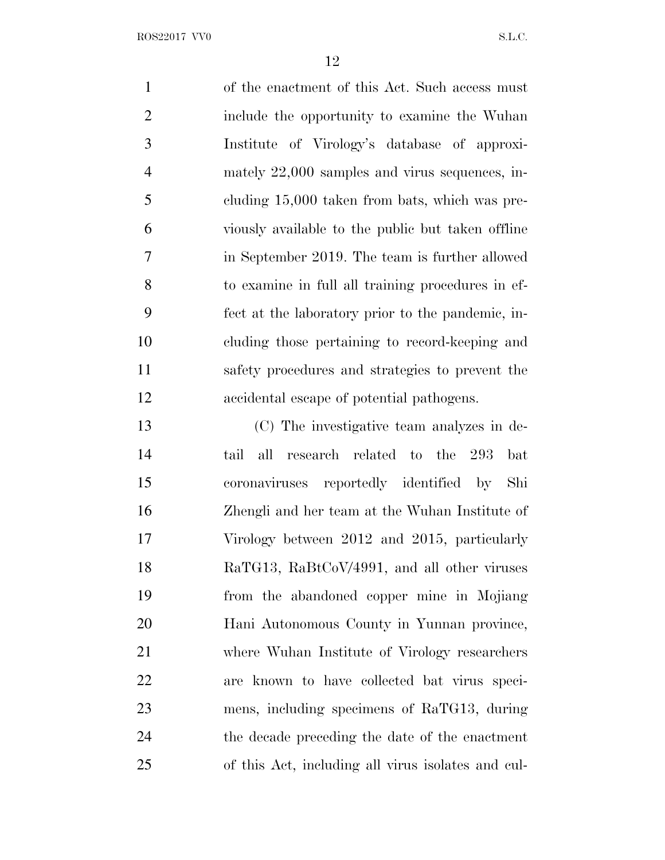of the enactment of this Act. Such access must include the opportunity to examine the Wuhan Institute of Virology's database of approxi- mately 22,000 samples and virus sequences, in- cluding 15,000 taken from bats, which was pre- viously available to the public but taken offline in September 2019. The team is further allowed to examine in full all training procedures in ef- fect at the laboratory prior to the pandemic, in- cluding those pertaining to record-keeping and safety procedures and strategies to prevent the accidental escape of potential pathogens. (C) The investigative team analyzes in de-tail all research related to the 293 bat

 coronaviruses reportedly identified by Shi Zhengli and her team at the Wuhan Institute of Virology between 2012 and 2015, particularly RaTG13, RaBtCoV/4991, and all other viruses from the abandoned copper mine in Mojiang Hani Autonomous County in Yunnan province, where Wuhan Institute of Virology researchers are known to have collected bat virus speci- mens, including specimens of RaTG13, during the decade preceding the date of the enactment of this Act, including all virus isolates and cul-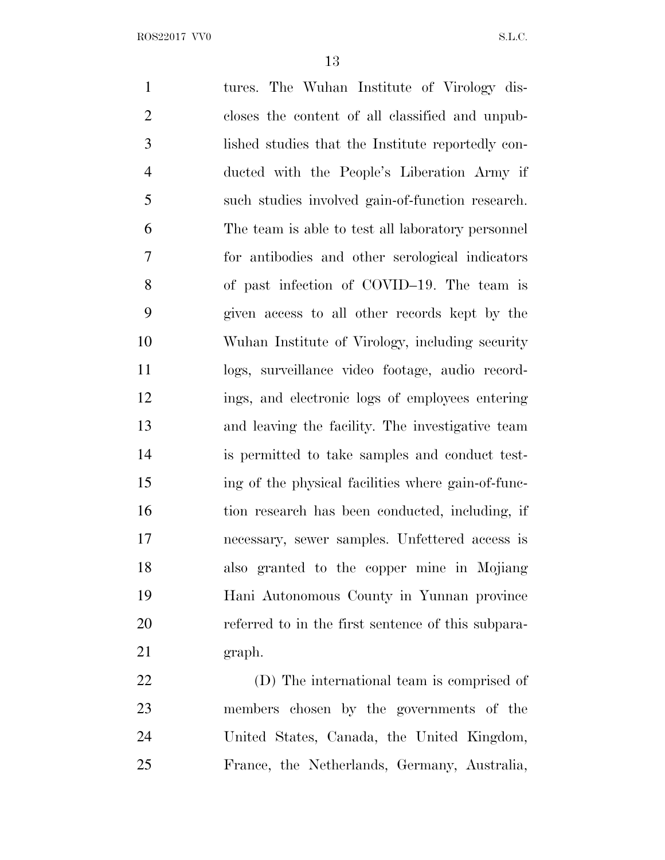tures. The Wuhan Institute of Virology dis- closes the content of all classified and unpub- lished studies that the Institute reportedly con- ducted with the People's Liberation Army if such studies involved gain-of-function research. The team is able to test all laboratory personnel for antibodies and other serological indicators of past infection of COVID–19. The team is given access to all other records kept by the Wuhan Institute of Virology, including security logs, surveillance video footage, audio record- ings, and electronic logs of employees entering and leaving the facility. The investigative team is permitted to take samples and conduct test- ing of the physical facilities where gain-of-func-16 tion research has been conducted, including, if necessary, sewer samples. Unfettered access is also granted to the copper mine in Mojiang Hani Autonomous County in Yunnan province referred to in the first sentence of this subpara- graph. (D) The international team is comprised of members chosen by the governments of the

 United States, Canada, the United Kingdom, France, the Netherlands, Germany, Australia,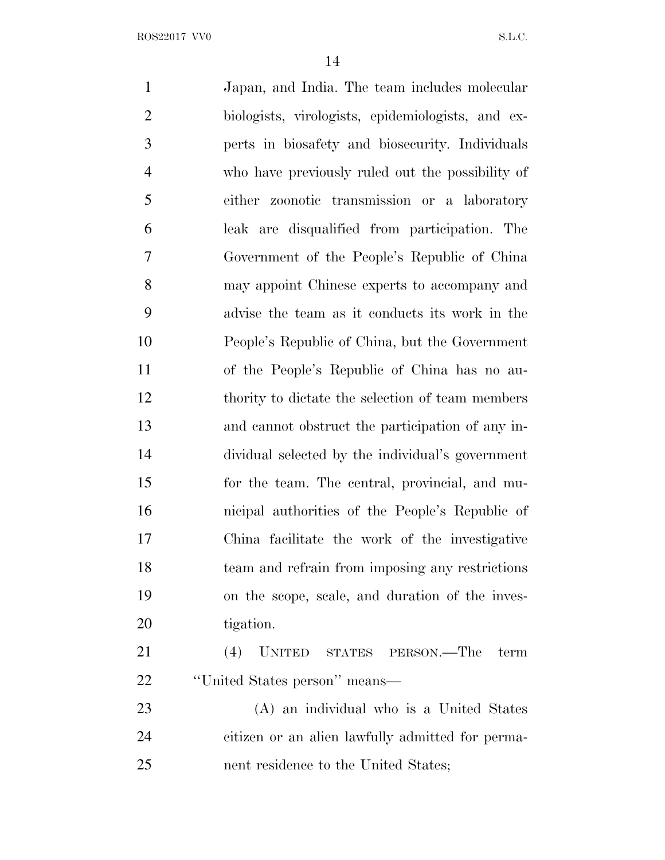Japan, and India. The team includes molecular biologists, virologists, epidemiologists, and ex- perts in biosafety and biosecurity. Individuals who have previously ruled out the possibility of either zoonotic transmission or a laboratory leak are disqualified from participation. The Government of the People's Republic of China may appoint Chinese experts to accompany and advise the team as it conducts its work in the People's Republic of China, but the Government of the People's Republic of China has no au-12 thority to dictate the selection of team members and cannot obstruct the participation of any in- dividual selected by the individual's government for the team. The central, provincial, and mu- nicipal authorities of the People's Republic of China facilitate the work of the investigative team and refrain from imposing any restrictions on the scope, scale, and duration of the inves- tigation. (4) UNITED STATES PERSON.—The term ''United States person'' means— (A) an individual who is a United States citizen or an alien lawfully admitted for perma-nent residence to the United States;